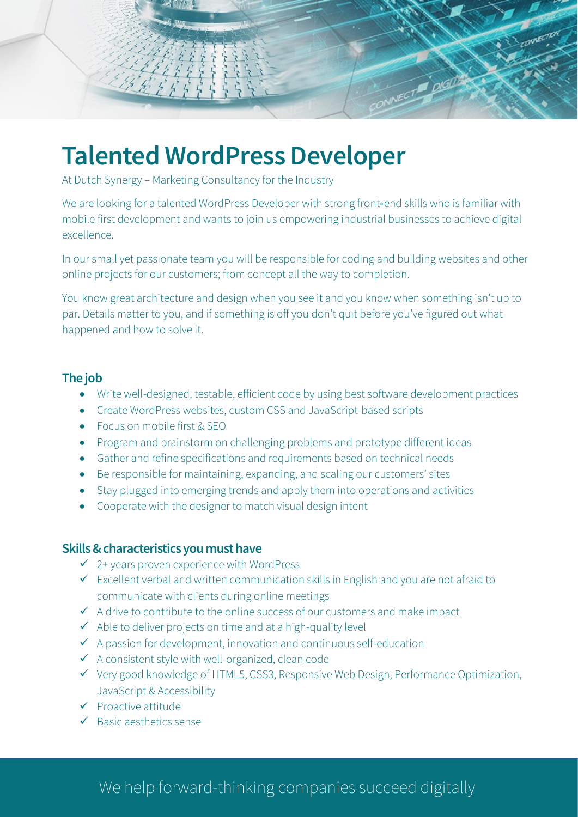

# **Talented WordPress Developer**

At Dutch Synergy – Marketing Consultancy for the Industry

We are looking for a talented WordPress Developer with strong front-end skills who is familiar with mobile first development and wants to join us empowering industrial businesses to achieve digital excellence.

In our small yet passionate team you will be responsible for coding and building websites and other online projects for our customers; from concept all the way to completion.

You know great architecture and design when you see it and you know when something isn't up to par. Details matter to you, and if something is off you don't quit before you've figured out what happened and how to solve it.

# **The job**

- Write well-designed, testable, efficient code by using best software development practices
- Create WordPress websites, custom CSS and JavaScript-based scripts
- Focus on mobile first & SEO
- Program and brainstorm on challenging problems and prototype different ideas
- Gather and refine specifications and requirements based on technical needs
- Be responsible for maintaining, expanding, and scaling our customers' sites
- Stay plugged into emerging trends and apply them into operations and activities
- Cooperate with the designer to match visual design intent

### **Skills& characteristicsyou must have**

- $\checkmark$  2+ years proven experience with WordPress
- ✓ Excellent verbal and written communication skills in English and you are not afraid to communicate with clients during online meetings
- $\checkmark$  A drive to contribute to the online success of our customers and make impact
- $\checkmark$  Able to deliver projects on time and at a high-quality level
- $\checkmark$  A passion for development, innovation and continuous self-education
- $\checkmark$  A consistent style with well-organized, clean code
- ✓ Very good knowledge of HTML5, CSS3, Responsive Web Design, Performance Optimization, JavaScript & Accessibility
- ✓ Proactive attitude
- ✓ Basic aesthetics sense

# We help forward-thinking companies succeed digitally